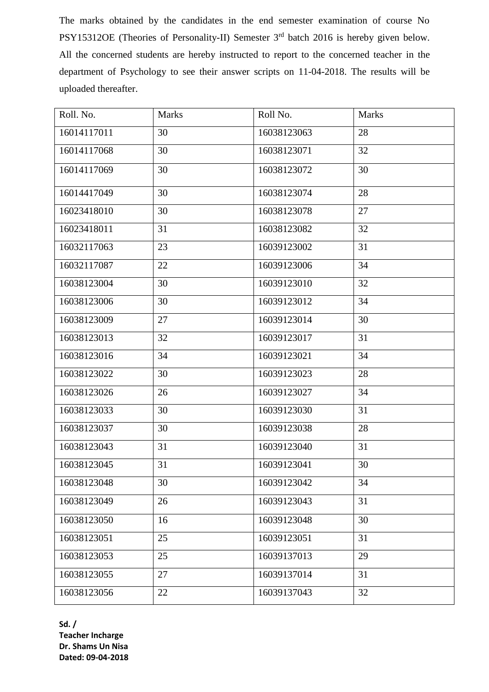The marks obtained by the candidates in the end semester examination of course No PSY15312OE (Theories of Personality-II) Semester 3<sup>rd</sup> batch 2016 is hereby given below. All the concerned students are hereby instructed to report to the concerned teacher in the department of Psychology to see their answer scripts on 11-04-2018. The results will be uploaded thereafter.

| Roll. No.   | <b>Marks</b> | Roll No.    | <b>Marks</b> |
|-------------|--------------|-------------|--------------|
| 16014117011 | 30           | 16038123063 | 28           |
| 16014117068 | 30           | 16038123071 | 32           |
| 16014117069 | 30           | 16038123072 | 30           |
| 16014417049 | 30           | 16038123074 | 28           |
| 16023418010 | 30           | 16038123078 | 27           |
| 16023418011 | 31           | 16038123082 | 32           |
| 16032117063 | 23           | 16039123002 | 31           |
| 16032117087 | 22           | 16039123006 | 34           |
| 16038123004 | 30           | 16039123010 | 32           |
| 16038123006 | 30           | 16039123012 | 34           |
| 16038123009 | 27           | 16039123014 | 30           |
| 16038123013 | 32           | 16039123017 | 31           |
| 16038123016 | 34           | 16039123021 | 34           |
| 16038123022 | 30           | 16039123023 | 28           |
| 16038123026 | 26           | 16039123027 | 34           |
| 16038123033 | 30           | 16039123030 | 31           |
| 16038123037 | 30           | 16039123038 | 28           |
| 16038123043 | 31           | 16039123040 | 31           |
| 16038123045 | 31           | 16039123041 | 30           |
| 16038123048 | 30           | 16039123042 | 34           |
| 16038123049 | 26           | 16039123043 | 31           |
| 16038123050 | 16           | 16039123048 | 30           |
| 16038123051 | 25           | 16039123051 | 31           |
| 16038123053 | 25           | 16039137013 | 29           |
| 16038123055 | 27           | 16039137014 | 31           |
| 16038123056 | 22           | 16039137043 | 32           |

**Sd. / Teacher Incharge Dr. Shams Un Nisa Dated: 09-04-2018**